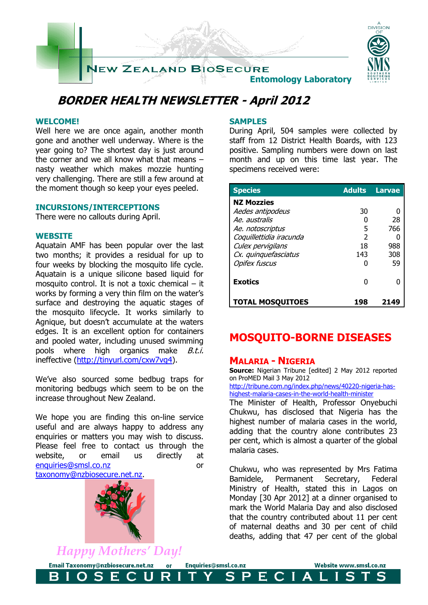

## **BORDER HEALTH NEWSLETTER - April 2012**

### **WELCOME!**

Well here we are once again, another month gone and another well underway. Where is the year going to? The shortest day is just around the corner and we all know what that means – nasty weather which makes mozzie hunting very challenging. There are still a few around at the moment though so keep your eyes peeled.

### **INCURSIONS/INTERCEPTIONS**

There were no callouts during April.

### **WEBSITE**

Aquatain AMF has been popular over the last two months; it provides a residual for up to four weeks by blocking the mosquito life cycle. Aquatain is a unique silicone based liquid for mosquito control. It is not a toxic chemical – it works by forming a very thin film on the water's surface and destroying the aquatic stages of the mosquito lifecycle. It works similarly to Agnique, but doesn't accumulate at the waters edges. It is an excellent option for containers and pooled water, including unused swimming pools where high organics make *B.t.i.* ineffective [\(http://tinyurl.com/cxw7vg4\)](http://tinyurl.com/cxw7vg4).

We've also sourced some bedbug traps for monitoring bedbugs which seem to be on the increase throughout New Zealand.

We hope you are finding this on-line service useful and are always happy to address any enquiries or matters you may wish to discuss. Please feel free to contact us through the website, or email us directly at [enquiries@smsl.co.nz](mailto:enquiries@smsl.co.nz) or [taxonomy@nzbiosecure.net.nz.](mailto:taxonomy@nzbiosecure.net.nz)



*Happy Mothers' Day!*

Е

Email Taxonomy@nzbiosecure.net.nz

O S

B

### **SAMPLES**

During April, 504 samples were collected by staff from 12 District Health Boards, with 123 positive. Sampling numbers were down on last month and up on this time last year. The specimens received were:

| <b>Species</b>          | <b>Adults</b> | <b>Larvae</b> |
|-------------------------|---------------|---------------|
| <b>NZ Mozzies</b>       |               |               |
| Aedes antipodeus        | 30            |               |
| Ae, australis           |               | 28            |
| Ae. notoscriptus        | 5             | 766           |
| Coquillettidia iracunda | $\mathcal{P}$ |               |
| Culex pervigilans       | 18            | 988           |
| Cx. quinquefasciatus    | 143           | 308           |
| <b>Opifex fuscus</b>    |               | 59            |
| <b>Exotics</b>          |               |               |
| <b>TOTAL MOSQUITOES</b> | 198           | 214           |

## **MOSQUITO-BORNE DISEASES**

### **MALARIA - NIGERIA**

Enquiries@smsl.co.nz

 $\mathbf S$ 

 $\mathsf{P}$ 

ECIA

 $\overline{\text{or}}$ 

 $\mathbf R$ 

U

**Source:** Nigerian Tribune [edited] 2 May 2012 reported on ProMED Mail 3 May 2012

[http://tribune.com.ng/index.php/news/40220-nigeria-has](http://tribune.com.ng/index.php/news/40220-nigeria-has-highest-malaria-cases-in-the-world-health-minister)[highest-malaria-cases-in-the-world-health-minister](http://tribune.com.ng/index.php/news/40220-nigeria-has-highest-malaria-cases-in-the-world-health-minister)

The Minister of Health, Professor Onyebuchi Chukwu, has disclosed that Nigeria has the highest number of malaria cases in the world, adding that the country alone contributes 23 per cent, which is almost a quarter of the global malaria cases.

Chukwu, who was represented by Mrs Fatima Bamidele, Permanent Secretary, Federal Ministry of Health, stated this in Lagos on Monday [30 Apr 2012] at a dinner organised to mark the World Malaria Day and also disclosed that the country contributed about 11 per cent of maternal deaths and 30 per cent of child deaths, adding that 47 per cent of the global

L

Website www.smsl.co.nz

S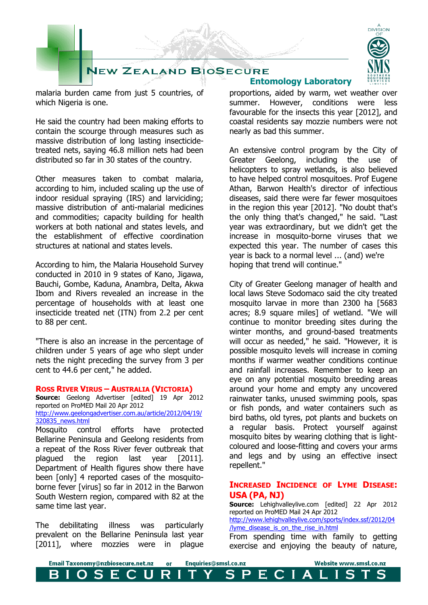

malaria burden came from just 5 countries, of which Nigeria is one.

He said the country had been making efforts to contain the scourge through measures such as massive distribution of long lasting insecticidetreated nets, saying 46.8 million nets had been distributed so far in 30 states of the country.

Other measures taken to combat malaria, according to him, included scaling up the use of indoor residual spraying (IRS) and larviciding; massive distribution of anti-malarial medicines and commodities; capacity building for health workers at both national and states levels, and the establishment of effective coordination structures at national and states levels.

According to him, the Malaria Household Survey conducted in 2010 in 9 states of Kano, Jigawa, Bauchi, Gombe, Kaduna, Anambra, Delta, Akwa Ibom and Rivers revealed an increase in the percentage of households with at least one insecticide treated net (ITN) from 2.2 per cent to 88 per cent.

"There is also an increase in the percentage of children under 5 years of age who slept under nets the night preceding the survey from 3 per cent to 44.6 per cent," he added.

#### **ROSS RIVER VIRUS – AUSTRALIA (VICTORIA)**

**Source:** Geelong Advertiser [edited] 19 Apr 2012 reported on ProMED Mail 20 Apr 2012 [http://www.geelongadvertiser.com.au/article/2012/04/19/](http://www.geelongadvertiser.com.au/article/2012/04/19/320835_news.html) [320835\\_news.html](http://www.geelongadvertiser.com.au/article/2012/04/19/320835_news.html)

Mosquito control efforts have protected Bellarine Peninsula and Geelong residents from a repeat of the Ross River fever outbreak that plagued the region last year [2011]. Department of Health figures show there have been [only] 4 reported cases of the mosquitoborne fever [virus] so far in 2012 in the Barwon South Western region, compared with 82 at the same time last year.

The debilitating illness was particularly prevalent on the Bellarine Peninsula last year [2011], where mozzies were in plague

## **Entomology Laboratory**

proportions, aided by warm, wet weather over summer. However, conditions were less favourable for the insects this year [2012], and coastal residents say mozzie numbers were not nearly as bad this summer.

An extensive control program by the City of Greater Geelong, including the use of helicopters to spray wetlands, is also believed to have helped control mosquitoes. Prof Eugene Athan, Barwon Health's director of infectious diseases, said there were far fewer mosquitoes in the region this year [2012]. "No doubt that's the only thing that's changed," he said. "Last year was extraordinary, but we didn't get the increase in mosquito-borne viruses that we expected this year. The number of cases this year is back to a normal level ... (and) we're hoping that trend will continue."

City of Greater Geelong manager of health and local laws Steve Sodomaco said the city treated mosquito larvae in more than 2300 ha [5683 acres; 8.9 square miles] of wetland. "We will continue to monitor breeding sites during the winter months, and ground-based treatments will occur as needed," he said. "However, it is possible mosquito levels will increase in coming months if warmer weather conditions continue and rainfall increases. Remember to keep an eye on any potential mosquito breeding areas around your home and empty any uncovered rainwater tanks, unused swimming pools, spas or fish ponds, and water containers such as bird baths, old tyres, pot plants and buckets on a regular basis. Protect yourself against mosquito bites by wearing clothing that is lightcoloured and loose-fitting and covers your arms and legs and by using an effective insect repellent."

### **INCREASED INCIDENCE OF LYME DISEASE: USA (PA, NJ)**

**Source:** Lehighvalleylive.com [edited] 22 Apr 2012 reported on ProMED Mail 24 Apr 2012 [http://www.lehighvalleylive.com/sports/index.ssf/2012/04](http://www.lehighvalleylive.com/sports/index.ssf/2012/04/lyme_disease_is_on_the_rise_in.html) [/lyme\\_disease\\_is\\_on\\_the\\_rise\\_in.html](http://www.lehighvalleylive.com/sports/index.ssf/2012/04/lyme_disease_is_on_the_rise_in.html) From spending time with family to getting exercise and enjoying the beauty of nature,

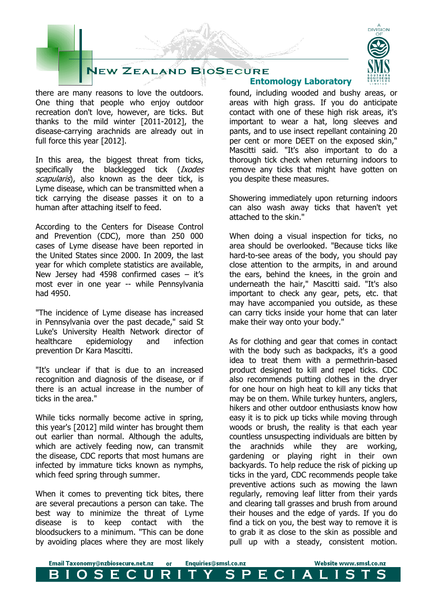# **JEW ZEALAND BIOSECURE**

there are many reasons to love the outdoors. One thing that people who enjoy outdoor recreation don't love, however, are ticks. But thanks to the mild winter [2011-2012], the disease-carrying arachnids are already out in full force this year [2012].

In this area, the biggest threat from ticks, specifically the blacklegged tick (Ixodes scapularis), also known as the deer tick, is Lyme disease, which can be transmitted when a tick carrying the disease passes it on to a human after attaching itself to feed.

According to the Centers for Disease Control and Prevention (CDC), more than 250 000 cases of Lyme disease have been reported in the United States since 2000. In 2009, the last year for which complete statistics are available, New Jersey had 4598 confirmed cases – it's most ever in one year -- while Pennsylvania had 4950.

"The incidence of Lyme disease has increased in Pennsylvania over the past decade," said St Luke's University Health Network director of healthcare epidemiology and infection prevention Dr Kara Mascitti.

"It's unclear if that is due to an increased recognition and diagnosis of the disease, or if there is an actual increase in the number of ticks in the area."

While ticks normally become active in spring, this year's [2012] mild winter has brought them out earlier than normal. Although the adults, which are actively feeding now, can transmit the disease, CDC reports that most humans are infected by immature ticks known as nymphs, which feed spring through summer.

When it comes to preventing tick bites, there are several precautions a person can take. The best way to minimize the threat of Lyme disease is to keep contact with the bloodsuckers to a minimum. "This can be done by avoiding places where they are most likely

## **Entomology Laboratory**

found, including wooded and bushy areas, or areas with high grass. If you do anticipate contact with one of these high risk areas, it's important to wear a hat, long sleeves and pants, and to use insect repellant containing 20 per cent or more DEET on the exposed skin," Mascitti said. "It's also important to do a thorough tick check when returning indoors to remove any ticks that might have gotten on you despite these measures.

Showering immediately upon returning indoors can also wash away ticks that haven't yet attached to the skin."

When doing a visual inspection for ticks, no area should be overlooked. "Because ticks like hard-to-see areas of the body, you should pay close attention to the armpits, in and around the ears, behind the knees, in the groin and underneath the hair," Mascitti said. "It's also important to check any gear, pets, etc. that may have accompanied you outside, as these can carry ticks inside your home that can later make their way onto your body."

As for clothing and gear that comes in contact with the body such as backpacks, it's a good idea to treat them with a permethrin-based product designed to kill and repel ticks. CDC also recommends putting clothes in the dryer for one hour on high heat to kill any ticks that may be on them. While turkey hunters, anglers, hikers and other outdoor enthusiasts know how easy it is to pick up ticks while moving through woods or brush, the reality is that each year countless unsuspecting individuals are bitten by the arachnids while they are working, gardening or playing right in their own backyards. To help reduce the risk of picking up ticks in the yard, CDC recommends people take preventive actions such as mowing the lawn regularly, removing leaf litter from their yards and clearing tall grasses and brush from around their houses and the edge of yards. If you do find a tick on you, the best way to remove it is to grab it as close to the skin as possible and pull up with a steady, consistent motion.